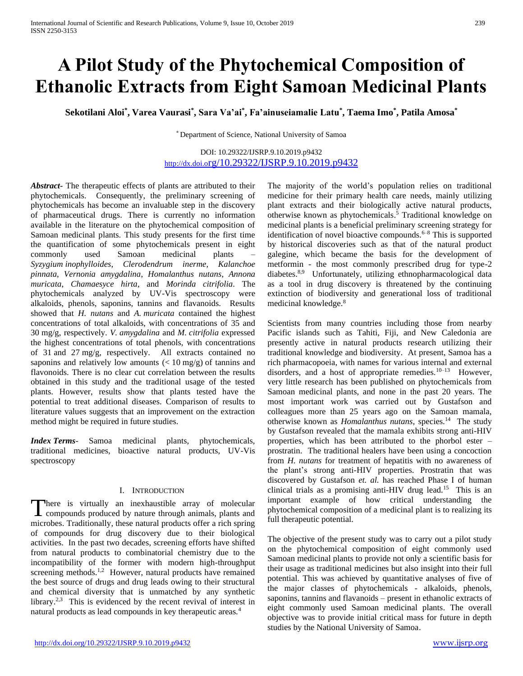# **A Pilot Study of the Phytochemical Composition of Ethanolic Extracts from Eight Samoan Medicinal Plants**

**Sekotilani Aloi\* , Varea Vaurasi\* , Sara Va'ai\* , Fa'ainuseiamalie Latu\* , Taema Imo\* , Patila Amosa\***

\* Department of Science, National University of Samoa

# DOI: 10.29322/IJSRP.9.10.2019.p9432 http://dx.doi.o[rg/10.29322/IJSRP.9.10.2019.p9432](http://dx.doi.org/10.29322/IJSRP.9.10.2019.p9432)

*Abstract***-** The therapeutic effects of plants are attributed to their phytochemicals. Consequently, the preliminary screening of phytochemicals has become an invaluable step in the discovery of pharmaceutical drugs. There is currently no information available in the literature on the phytochemical composition of Samoan medicinal plants. This study presents for the first time the quantification of some phytochemicals present in eight commonly used Samoan medicinal plants – *Syzygium inophylloides*, *Clerodendrum inerme*, *Kalanchoe pinnata*, *Vernonia amygdalina*, *Homalanthus nutans*, *Annona muricata*, *Chamaesyce hirta*, and *Morinda citrifolia*. The phytochemicals analyzed by UV-Vis spectroscopy were alkaloids, phenols, saponins, tannins and flavanoids. Results showed that *H. nutans* and *A. muricata* contained the highest concentrations of total alkaloids, with concentrations of 35 and 30 mg/g, respectively. *V. amygdalina* and *M. citrifolia* expressed the highest concentrations of total phenols, with concentrations of 31 and 27 mg/g, respectively. All extracts contained no saponins and relatively low amounts  $(< 10$  mg/g) of tannins and flavonoids. There is no clear cut correlation between the results obtained in this study and the traditional usage of the tested plants. However, results show that plants tested have the potential to treat additional diseases. Comparison of results to literature values suggests that an improvement on the extraction method might be required in future studies.

*Index Terms*- Samoa medicinal plants, phytochemicals, traditional medicines, bioactive natural products, UV-Vis spectroscopy

# I. INTRODUCTION

There is virtually an inexhaustible array of molecular There is virtually an inexhaustible array of molecular compounds produced by nature through animals, plants and microbes. Traditionally, these natural products offer a rich spring of compounds for drug discovery due to their biological activities. In the past two decades, screening efforts have shifted from natural products to combinatorial chemistry due to the incompatibility of the former with modern high-throughput screening methods.<sup>1,2</sup> However, natural products have remained the best source of drugs and drug leads owing to their structural and chemical diversity that is unmatched by any synthetic library.<sup>2,3</sup> This is evidenced by the recent revival of interest in natural products as lead compounds in key therapeutic areas.<sup>4</sup>

The majority of the world's population relies on traditional medicine for their primary health care needs, mainly utilizing plant extracts and their biologically active natural products, otherwise known as phytochemicals. <sup>5</sup> Traditional knowledge on medicinal plants is a beneficial preliminary screening strategy for identification of novel bioactive compounds.<sup>6–8</sup> This is supported by historical discoveries such as that of the natural product galegine, which became the basis for the development of metformin - the most commonly prescribed drug for type-2 diabetes.<sup>8,9</sup> Unfortunately, utilizing ethnopharmacological data as a tool in drug discovery is threatened by the continuing extinction of biodiversity and generational loss of traditional medicinal knowledge.<sup>8</sup>

Scientists from many countries including those from nearby Pacific islands such as Tahiti, Fiji, and New Caledonia are presently active in natural products research utilizing their traditional knowledge and biodiversity. At present, Samoa has a rich pharmacopoeia, with names for various internal and external disorders, and a host of appropriate remedies. $10-13$  However, very little research has been published on phytochemicals from Samoan medicinal plants, and none in the past 20 years. The most important work was carried out by Gustafson and colleagues more than 25 years ago on the Samoan mamala, otherwise known as *Homalanthus nutans*, species.<sup>14</sup> The study by Gustafson revealed that the mamala exhibits strong anti-HIV properties, which has been attributed to the phorbol ester – prostratin. The traditional healers have been using a concoction from *H. nutans* for treatment of hepatitis with no awareness of the plant's strong anti-HIV properties. Prostratin that was discovered by Gustafson *et. al.* has reached Phase I of human clinical trials as a promising anti-HIV drug lead.<sup>15</sup> This is an important example of how critical understanding the phytochemical composition of a medicinal plant is to realizing its full therapeutic potential.

The objective of the present study was to carry out a pilot study on the phytochemical composition of eight commonly used Samoan medicinal plants to provide not only a scientific basis for their usage as traditional medicines but also insight into their full potential. This was achieved by quantitative analyses of five of the major classes of phytochemicals - alkaloids, phenols, saponins, tannins and flavanoids – present in ethanolic extracts of eight commonly used Samoan medicinal plants. The overall objective was to provide initial critical mass for future in depth studies by the National University of Samoa.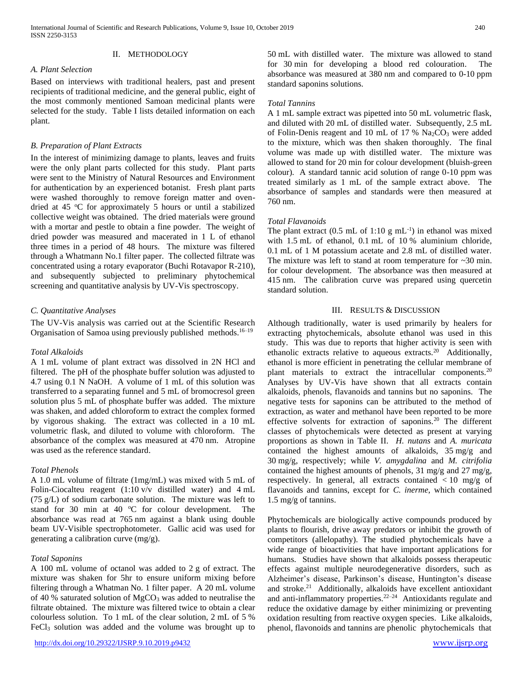# II. METHODOLOGY

#### *A. Plant Selection*

Based on interviews with traditional healers, past and present recipients of traditional medicine, and the general public, eight of the most commonly mentioned Samoan medicinal plants were selected for the study. [Table I](#page-2-0) lists detailed information on each plant.

# *B. Preparation of Plant Extracts*

In the interest of minimizing damage to plants, leaves and fruits were the only plant parts collected for this study. Plant parts were sent to the Ministry of Natural Resources and Environment for authentication by an experienced botanist. Fresh plant parts were washed thoroughly to remove foreign matter and ovendried at 45  $\degree$ C for approximately 5 hours or until a stabilized collective weight was obtained. The dried materials were ground with a mortar and pestle to obtain a fine powder. The weight of dried powder was measured and macerated in 1 L of ethanol three times in a period of 48 hours. The mixture was filtered through a Whatmann No.1 filter paper. The collected filtrate was concentrated using a rotary evaporator (Buchi Rotavapor R-210), and subsequently subjected to preliminary phytochemical screening and quantitative analysis by UV-Vis spectroscopy.

# *C. Quantitative Analyses*

The UV-Vis analysis was carried out at the Scientific Research Organisation of Samoa using previously published methods.<sup>16-19</sup>

# *Total Alkaloids*

A 1 mL volume of plant extract was dissolved in 2N HCl and filtered. The pH of the phosphate buffer solution was adjusted to 4.7 using 0.1 N NaOH. A volume of 1 mL of this solution was transferred to a separating funnel and 5 mL of bromocresol green solution plus 5 mL of phosphate buffer was added. The mixture was shaken, and added chloroform to extract the complex formed by vigorous shaking. The extract was collected in a 10 mL volumetric flask, and diluted to volume with chloroform. The absorbance of the complex was measured at 470 nm. Atropine was used as the reference standard.

# *Total Phenols*

A 1.0 mL volume of filtrate (1mg/mL) was mixed with 5 mL of Folin-Ciocalteu reagent (1:10 v/v distilled water) and 4 mL (75 g/L) of sodium carbonate solution. The mixture was left to stand for 30 min at 40  $^{\circ}$ C for colour development. The absorbance was read at 765 nm against a blank using double beam UV-Visible spectrophotometer. Gallic acid was used for generating a calibration curve (mg/g).

# *Total Saponins*

A 100 mL volume of octanol was added to 2 g of extract. The mixture was shaken for 5hr to ensure uniform mixing before filtering through a Whatman No. 1 filter paper. A 20 mL volume of 40 % saturated solution of  $MgCO<sub>3</sub>$  was added to neutralise the filtrate obtained. The mixture was filtered twice to obtain a clear colourless solution. To 1 mL of the clear solution, 2 mL of 5 % FeCl<sup>3</sup> solution was added and the volume was brought up to

50 mL with distilled water. The mixture was allowed to stand for 30 min for developing a blood red colouration. The absorbance was measured at 380 nm and compared to 0-10 ppm standard saponins solutions.

# *Total Tannins*

A 1 mL sample extract was pipetted into 50 mL volumetric flask, and diluted with 20 mL of distilled water. Subsequently, 2.5 mL of Folin-Denis reagent and 10 mL of 17 %  $Na<sub>2</sub>CO<sub>3</sub>$  were added to the mixture, which was then shaken thoroughly. The final volume was made up with distilled water. The mixture was allowed to stand for 20 min for colour development (bluish-green colour). A standard tannic acid solution of range 0-10 ppm was treated similarly as 1 mL of the sample extract above. The absorbance of samples and standards were then measured at 760 nm.

# *Total Flavanoids*

The plant extract  $(0.5 \text{ mL of } 1:10 \text{ g } \text{mL}^{-1})$  in ethanol was mixed with 1.5 mL of ethanol, 0.1 mL of 10 % aluminium chloride, 0.1 mL of 1 M potassium acetate and 2.8 mL of distilled water. The mixture was left to stand at room temperature for  $\sim$ 30 min. for colour development. The absorbance was then measured at 415 nm. The calibration curve was prepared using quercetin standard solution.

# III. RESULTS & DISCUSSION

Although traditionally, water is used primarily by healers for extracting phytochemicals, absolute ethanol was used in this study. This was due to reports that higher activity is seen with ethanolic extracts relative to aqueous extracts.<sup>20</sup> Additionally, ethanol is more efficient in penetrating the cellular membrane of plant materials to extract the intracellular components.<sup>20</sup> Analyses by UV-Vis have shown that all extracts contain alkaloids, phenols, flavanoids and tannins but no saponins. The negative tests for saponins can be attributed to the method of extraction, as water and methanol have been reported to be more effective solvents for extraction of saponins.<sup>20</sup> The different classes of phytochemicals were detected as present at varying proportions as shown in [Table II.](#page-2-1) *H. nutans* and *A. muricata* contained the highest amounts of alkaloids, 35 mg/g and 30 mg/g, respectively; while *V. amygdalina* and *M. citrifolia* contained the highest amounts of phenols, 31 mg/g and 27 mg/g, respectively. In general, all extracts contained  $\langle 10 \rangle$  mg/g of flavanoids and tannins, except for *C. inerme*, which contained 1.5 mg/g of tannins.

Phytochemicals are biologically active compounds produced by plants to flourish, drive away predators or inhibit the growth of competitors (allelopathy). The studied phytochemicals have a wide range of bioactivities that have important applications for humans. Studies have shown that alkaloids possess therapeutic effects against multiple neurodegenerative disorders, such as Alzheimer's disease, Parkinson's disease, Huntington's disease and stroke.<sup>21</sup> Additionally, alkaloids have excellent antioxidant and anti-inflammatory properties. $22-24$  Antioxidants regulate and reduce the oxidative damage by either minimizing or preventing oxidation resulting from reactive oxygen species. Like alkaloids, phenol, flavonoids and tannins are phenolic phytochemicals that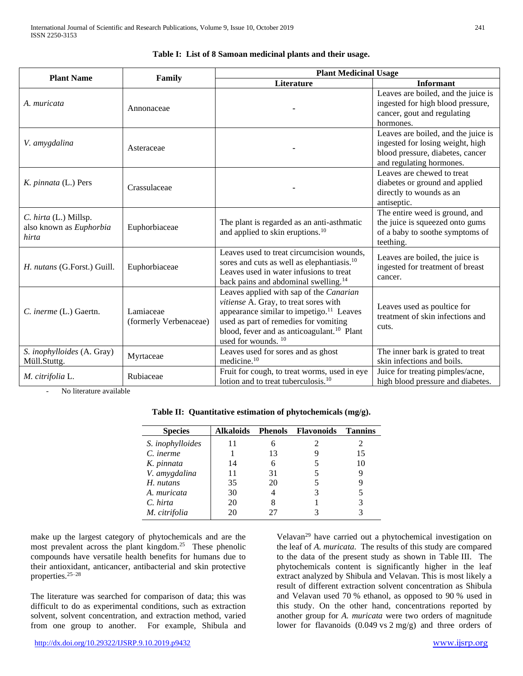<span id="page-2-0"></span>

|                                                           | Family                              | <b>Plant Medicinal Usage</b>                                                                                                                                                                                                                                                  |                                                                                                                                         |  |
|-----------------------------------------------------------|-------------------------------------|-------------------------------------------------------------------------------------------------------------------------------------------------------------------------------------------------------------------------------------------------------------------------------|-----------------------------------------------------------------------------------------------------------------------------------------|--|
| <b>Plant Name</b>                                         |                                     | Literature                                                                                                                                                                                                                                                                    | <b>Informant</b>                                                                                                                        |  |
| A. muricata                                               | Annonaceae                          |                                                                                                                                                                                                                                                                               | Leaves are boiled, and the juice is<br>ingested for high blood pressure,<br>cancer, gout and regulating<br>hormones.                    |  |
| V. amygdalina                                             | Asteraceae                          |                                                                                                                                                                                                                                                                               | Leaves are boiled, and the juice is<br>ingested for losing weight, high<br>blood pressure, diabetes, cancer<br>and regulating hormones. |  |
| K. pinnata (L.) Pers                                      | Crassulaceae                        |                                                                                                                                                                                                                                                                               | Leaves are chewed to treat<br>diabetes or ground and applied<br>directly to wounds as an<br>antiseptic.                                 |  |
| C. hirta (L.) Millsp.<br>also known as Euphorbia<br>hirta | Euphorbiaceae                       | The plant is regarded as an anti-asthmatic<br>and applied to skin eruptions. <sup>10</sup>                                                                                                                                                                                    | The entire weed is ground, and<br>the juice is squeezed onto gums<br>of a baby to soothe symptoms of<br>teething.                       |  |
| H. nutans (G.Forst.) Guill.                               | Euphorbiaceae                       | Leaves used to treat circumcision wounds,<br>sores and cuts as well as elephantiasis. <sup>10</sup><br>Leaves used in water infusions to treat<br>back pains and abdominal swelling. <sup>14</sup>                                                                            | Leaves are boiled, the juice is<br>ingested for treatment of breast<br>cancer.                                                          |  |
| C. inerme (L.) Gaertn.                                    | Lamiaceae<br>(formerly Verbenaceae) | Leaves applied with sap of the Canarian<br>vitiense A. Gray, to treat sores with<br>appearance similar to impetigo. <sup>11</sup> Leaves<br>used as part of remedies for vomiting<br>blood, fever and as anticoagulant. <sup>10</sup> Plant<br>used for wounds. <sup>10</sup> | Leaves used as poultice for<br>treatment of skin infections and<br>cuts.                                                                |  |
| S. inophylloides (A. Gray)<br>Müll.Stuttg.                | Myrtaceae                           | Leaves used for sores and as ghost<br>medicine. <sup>10</sup>                                                                                                                                                                                                                 | The inner bark is grated to treat<br>skin infections and boils.                                                                         |  |
| M. citrifolia L.                                          | Rubiaceae                           | Fruit for cough, to treat worms, used in eye<br>lotion and to treat tuberculosis. <sup>10</sup>                                                                                                                                                                               | Juice for treating pimples/acne,<br>high blood pressure and diabetes.                                                                   |  |

# **Table I: List of 8 Samoan medicinal plants and their usage.**

<span id="page-2-1"></span>No literature available

**Table II: Quantitative estimation of phytochemicals (mg/g).**

| <b>Species</b>          | Alkaloids | <b>Phenols</b> | <b>Flavonoids</b> | Tannins |
|-------------------------|-----------|----------------|-------------------|---------|
| S. <i>inophylloides</i> | 11        |                |                   |         |
| C. inerme               |           | 13             |                   | 15      |
| K. pinnata              | 14        | 6              |                   | 10      |
| V. amygdalina           | 11        | 31             |                   | 9       |
| H. nutans               | 35        | 20             |                   |         |
| A. muricata             | 30        | $\overline{4}$ |                   |         |
| C. hirta                | 20        |                |                   |         |
| M. citrifolia           | 20        |                |                   |         |

make up the largest category of phytochemicals and are the most prevalent across the plant kingdom.<sup>25</sup> These phenolic compounds have versatile health benefits for humans due to their antioxidant, anticancer, antibacterial and skin protective properties.25–28

The literature was searched for comparison of data; this was difficult to do as experimental conditions, such as extraction solvent, solvent concentration, and extraction method, varied from one group to another. For example, Shibula and

Velavan<sup>29</sup> have carried out a phytochemical investigation on the leaf of *A. muricata*. The results of this study are compared to the data of the present study as shown in Table III. The phytochemicals content is significantly higher in the leaf extract analyzed by Shibula and Velavan. This is most likely a result of different extraction solvent concentration as Shibula and Velavan used 70 % ethanol, as opposed to 90 % used in this study. On the other hand, concentrations reported by another group for *A. muricata* were two orders of magnitude lower for flavanoids (0.049 vs 2 mg/g) and three orders of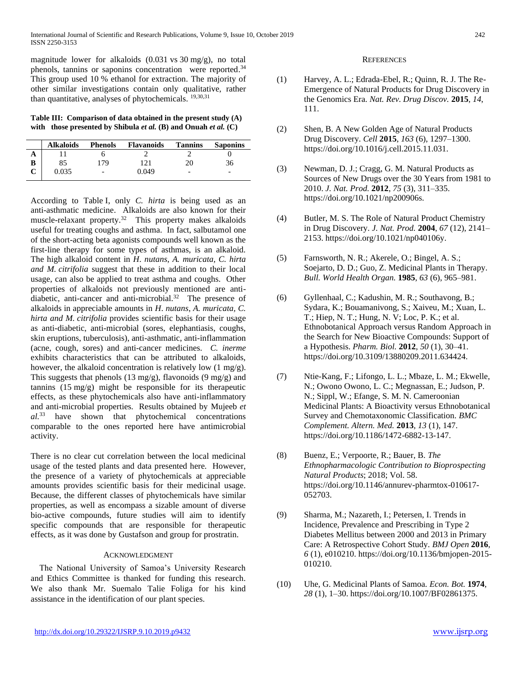magnitude lower for alkaloids (0.031 vs 30 mg/g), no total phenols, tannins or saponins concentration were reported.<sup>34</sup> This group used 10 % ethanol for extraction. The majority of other similar investigations contain only qualitative, rather than quantitative, analyses of phytochemicals. 19,30,31

**Table III: Comparison of data obtained in the present study (A) with those presented by Shibula** *et al.* **(B) and Onuah** *et al.* **(C)**

According to Table I, only *C. hirta* is being used as an anti-asthmatic medicine. Alkaloids are also known for their muscle-relaxant property.<sup>32</sup> This property makes alkaloids useful for treating coughs and asthma. In fact, salbutamol one of the short-acting beta agonists compounds well known as the first-line therapy for some types of asthmas, is an alkaloid. The high alkaloid content in *H*. *nutans*, *A. muricata, C. hirta and M. citrifolia* suggest that these in addition to their local usage, can also be applied to treat asthma and coughs. Other properties of alkaloids not previously mentioned are antidiabetic, anti-cancer and anti-microbial.<sup>32</sup> The presence of alkaloids in appreciable amounts in *H*. *nutans*, *A. muricata, C. hirta and M. citrifolia* provides scientific basis for their usage as anti-diabetic, anti-microbial (sores, elephantiasis, coughs, skin eruptions, tuberculosis), anti-asthmatic, anti-inflammation (acne, cough, sores) and anti-cancer medicines. *C. inerme*  exhibits characteristics that can be attributed to alkaloids, however, the alkaloid concentration is relatively low (1 mg/g). This suggests that phenols (13 mg/g), flavonoids (9 mg/g) and tannins (15 mg/g) might be responsible for its therapeutic effects, as these phytochemicals also have anti-inflammatory and anti-microbial properties. Results obtained by Mujeeb *et al.*<sup>33</sup> have shown that phytochemical concentrations comparable to the ones reported here have antimicrobial activity.

There is no clear cut correlation between the local medicinal usage of the tested plants and data presented here. However, the presence of a variety of phytochemicals at appreciable amounts provides scientific basis for their medicinal usage. Because, the different classes of phytochemicals have similar properties, as well as encompass a sizable amount of diverse bio-active compounds, future studies will aim to identify specific compounds that are responsible for therapeutic effects, as it was done by Gustafson and group for prostratin.

# ACKNOWLEDGMENT

The National University of Samoa's University Research and Ethics Committee is thanked for funding this research. We also thank Mr. Suemalo Talie Foliga for his kind assistance in the identification of our plant species.

#### **REFERENCES**

- (1) Harvey, A. L.; Edrada-Ebel, R.; Quinn, R. J. The Re-Emergence of Natural Products for Drug Discovery in the Genomics Era. *Nat. Rev. Drug Discov.* **2015**, *14*, 111.
- (2) Shen, B. A New Golden Age of Natural Products Drug Discovery. *Cell* **2015**, *163* (6), 1297–1300. https://doi.org/10.1016/j.cell.2015.11.031.
- (3) Newman, D. J.; Cragg, G. M. Natural Products as Sources of New Drugs over the 30 Years from 1981 to 2010. *J. Nat. Prod.* **2012**, *75* (3), 311–335. https://doi.org/10.1021/np200906s.
- (4) Butler, M. S. The Role of Natural Product Chemistry in Drug Discovery. *J. Nat. Prod.* **2004**, *67* (12), 2141– 2153. https://doi.org/10.1021/np040106y.
- (5) Farnsworth, N. R.; Akerele, O.; Bingel, A. S.; Soejarto, D. D.; Guo, Z. Medicinal Plants in Therapy. *Bull. World Health Organ.* **1985**, *63* (6), 965–981.
- (6) Gyllenhaal, C.; Kadushin, M. R.; Southavong, B.; Sydara, K.; Bouamanivong, S.; Xaiveu, M.; Xuan, L. T.; Hiep, N. T.; Hung, N. V; Loc, P. K.; et al. Ethnobotanical Approach versus Random Approach in the Search for New Bioactive Compounds: Support of a Hypothesis. *Pharm. Biol.* **2012**, *50* (1), 30–41. https://doi.org/10.3109/13880209.2011.634424.
- (7) Ntie-Kang, F.; Lifongo, L. L.; Mbaze, L. M.; Ekwelle, N.; Owono Owono, L. C.; Megnassan, E.; Judson, P. N.; Sippl, W.; Efange, S. M. N. Cameroonian Medicinal Plants: A Bioactivity versus Ethnobotanical Survey and Chemotaxonomic Classification. *BMC Complement. Altern. Med.* **2013**, *13* (1), 147. https://doi.org/10.1186/1472-6882-13-147.
- (8) Buenz, E.; Verpoorte, R.; Bauer, B. *The Ethnopharmacologic Contribution to Bioprospecting Natural Products*; 2018; Vol. 58. https://doi.org/10.1146/annurev-pharmtox-010617- 052703.
- (9) Sharma, M.; Nazareth, I.; Petersen, I. Trends in Incidence, Prevalence and Prescribing in Type 2 Diabetes Mellitus between 2000 and 2013 in Primary Care: A Retrospective Cohort Study. *BMJ Open* **2016**, *6* (1), e010210. https://doi.org/10.1136/bmjopen-2015- 010210.
- (10) Uhe, G. Medicinal Plants of Samoa. *Econ. Bot.* **1974**, *28* (1), 1–30. https://doi.org/10.1007/BF02861375.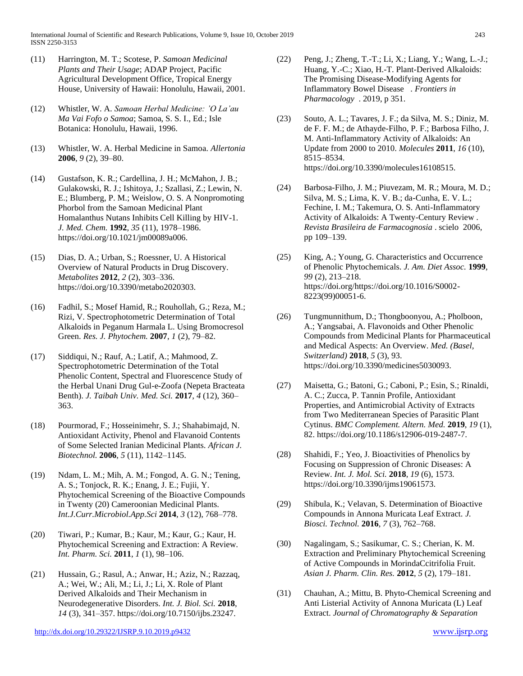International Journal of Scientific and Research Publications, Volume 9, Issue 10, October 2019 243 ISSN 2250-3153

- (11) Harrington, M. T.; Scotese, P. *Samoan Medicinal Plants and Their Usage*; ADAP Project, Pacific Agricultural Development Office, Tropical Energy House, University of Hawaii: Honolulu, Hawaii, 2001.
- (12) Whistler, W. A. *Samoan Herbal Medicine: 'O La'au Ma Vai Fofo o Samoa*; Samoa, S. S. I., Ed.; Isle Botanica: Honolulu, Hawaii, 1996.
- (13) Whistler, W. A. Herbal Medicine in Samoa. *Allertonia* **2006**, *9* (2), 39–80.
- (14) Gustafson, K. R.; Cardellina, J. H.; McMahon, J. B.; Gulakowski, R. J.; Ishitoya, J.; Szallasi, Z.; Lewin, N. E.; Blumberg, P. M.; Weislow, O. S. A Nonpromoting Phorbol from the Samoan Medicinal Plant Homalanthus Nutans Inhibits Cell Killing by HIV-1. *J. Med. Chem.* **1992**, *35* (11), 1978–1986. https://doi.org/10.1021/jm00089a006.
- (15) Dias, D. A.; Urban, S.; Roessner, U. A Historical Overview of Natural Products in Drug Discovery. *Metabolites* **2012**, *2* (2), 303–336. https://doi.org/10.3390/metabo2020303.
- (16) Fadhil, S.; Mosef Hamid, R.; Rouhollah, G.; Reza, M.; Rizi, V. Spectrophotometric Determination of Total Alkaloids in Peganum Harmala L. Using Bromocresol Green. *Res. J. Phytochem.* **2007**, *1* (2), 79–82.
- (17) Siddiqui, N.; Rauf, A.; Latif, A.; Mahmood, Z. Spectrophotometric Determination of the Total Phenolic Content, Spectral and Fluorescence Study of the Herbal Unani Drug Gul-e-Zoofa (Nepeta Bracteata Benth). *J. Taibah Univ. Med. Sci.* **2017**, *4* (12), 360– 363.
- (18) Pourmorad, F.; Hosseinimehr, S. J.; Shahabimajd, N. Antioxidant Activity, Phenol and Flavanoid Contents of Some Selected Iranian Medicinal Plants. *African J. Biotechnol.* **2006**, *5* (11), 1142–1145.
- (19) Ndam, L. M.; Mih, A. M.; Fongod, A. G. N.; Tening, A. S.; Tonjock, R. K.; Enang, J. E.; Fujii, Y. Phytochemical Screening of the Bioactive Compounds in Twenty (20) Cameroonian Medicinal Plants. *Int.J.Curr.Microbiol.App.Sci* **2014**, *3* (12), 768–778.
- (20) Tiwari, P.; Kumar, B.; Kaur, M.; Kaur, G.; Kaur, H. Phytochemical Screening and Extraction: A Review. *Int. Pharm. Sci.* **2011**, *1* (1), 98–106.
- (21) Hussain, G.; Rasul, A.; Anwar, H.; Aziz, N.; Razzaq, A.; Wei, W.; Ali, M.; Li, J.; Li, X. Role of Plant Derived Alkaloids and Their Mechanism in Neurodegenerative Disorders. *Int. J. Biol. Sci.* **2018**, *14* (3), 341–357. https://doi.org/10.7150/ijbs.23247.
- <http://dx.doi.org/10.29322/IJSRP.9.10.2019.p9432> [www.ijsrp.org](http://ijsrp.org/)
- (22) Peng, J.; Zheng, T.-T.; Li, X.; Liang, Y.; Wang, L.-J.; Huang, Y.-C.; Xiao, H.-T. Plant-Derived Alkaloids: The Promising Disease-Modifying Agents for Inflammatory Bowel Disease . *Frontiers in Pharmacology* . 2019, p 351.
- (23) Souto, A. L.; Tavares, J. F.; da Silva, M. S.; Diniz, M. de F. F. M.; de Athayde-Filho, P. F.; Barbosa Filho, J. M. Anti-Inflammatory Activity of Alkaloids: An Update from 2000 to 2010. *Molecules* **2011**, *16* (10), 8515–8534. https://doi.org/10.3390/molecules16108515.
- (24) Barbosa-Filho, J. M.; Piuvezam, M. R.; Moura, M. D.; Silva, M. S.; Lima, K. V. B.; da-Cunha, E. V. L.; Fechine, I. M.; Takemura, O. S. Anti-Inflammatory Activity of Alkaloids: A Twenty-Century Review . *Revista Brasileira de Farmacognosia* . scielo 2006, pp 109–139.
- (25) King, A.; Young, G. Characteristics and Occurrence of Phenolic Phytochemicals. *J. Am. Diet Assoc.* **1999**, *99* (2), 213–218. https://doi.org/https://doi.org/10.1016/S0002- 8223(99)00051-6.
- (26) Tungmunnithum, D.; Thongboonyou, A.; Pholboon, A.; Yangsabai, A. Flavonoids and Other Phenolic Compounds from Medicinal Plants for Pharmaceutical and Medical Aspects: An Overview. *Med. (Basel, Switzerland)* **2018**, *5* (3), 93. https://doi.org/10.3390/medicines5030093.
- (27) Maisetta, G.; Batoni, G.; Caboni, P.; Esin, S.; Rinaldi, A. C.; Zucca, P. Tannin Profile, Antioxidant Properties, and Antimicrobial Activity of Extracts from Two Mediterranean Species of Parasitic Plant Cytinus. *BMC Complement. Altern. Med.* **2019**, *19* (1), 82. https://doi.org/10.1186/s12906-019-2487-7.
- (28) Shahidi, F.; Yeo, J. Bioactivities of Phenolics by Focusing on Suppression of Chronic Diseases: A Review. *Int. J. Mol. Sci.* **2018**, *19* (6), 1573. https://doi.org/10.3390/ijms19061573.
- (29) Shibula, K.; Velavan, S. Determination of Bioactive Compounds in Annona Muricata Leaf Extract. *J. Biosci. Technol.* **2016**, *7* (3), 762–768.
- (30) Nagalingam, S.; Sasikumar, C. S.; Cherian, K. M. Extraction and Preliminary Phytochemical Screening of Active Compounds in MorindaCcitrifolia Fruit. *Asian J. Pharm. Clin. Res.* **2012**, *5* (2), 179–181.
- (31) Chauhan, A.; Mittu, B. Phyto-Chemical Screening and Anti Listerial Activity of Annona Muricata (L) Leaf Extract. *Journal of Chromatography & Separation*